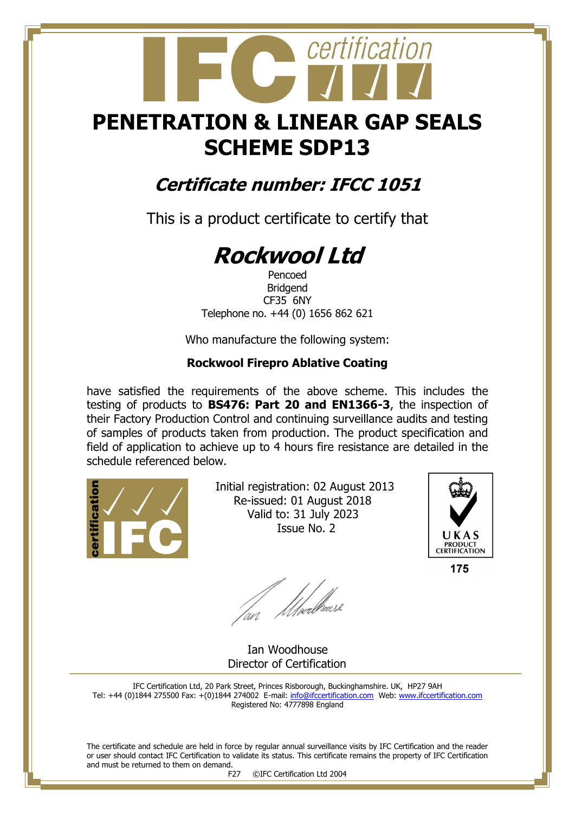## **PENETRATION & LINEAR GAP SEALS SCHEME SDP13**

certification

### **Certificate number: IFCC 1051**

This is a product certificate to certify that

# **Rockwool Ltd**

Pencoed Bridgend CF35 6NY Telephone no. +44 (0) 1656 862 621

Who manufacture the following system:

#### **Rockwool Firepro Ablative Coating**

have satisfied the requirements of the above scheme. This includes the testing of products to **BS476: Part 20 and EN1366-3**, the inspection of their Factory Production Control and continuing surveillance audits and testing of samples of products taken from production. The product specification and field of application to achieve up to 4 hours fire resistance are detailed in the schedule referenced below.



 Initial registration: 02 August 2013 Re-issued: 01 August 2018 Valid to: 31 July 2023 Issue No. 2



175

fan Moedhouse

 Ian Woodhouse Director of Certification

IFC Certification Ltd, 20 Park Street, Princes Risborough, Buckinghamshire. UK, HP27 9AH Tel: +44 (0)1844 275500 Fax: +(0)1844 274002 E-mail[: info@ifccertification.com](mailto:info@ifccertification.com) Web: [www.ifccertification.com](http://www.ifccertification.com/) Registered No: 4777898 England

The certificate and schedule are held in force by regular annual surveillance visits by IFC Certification and the reader or user should contact IFC Certification to validate its status. This certificate remains the property of IFC Certification and must be returned to them on demand.